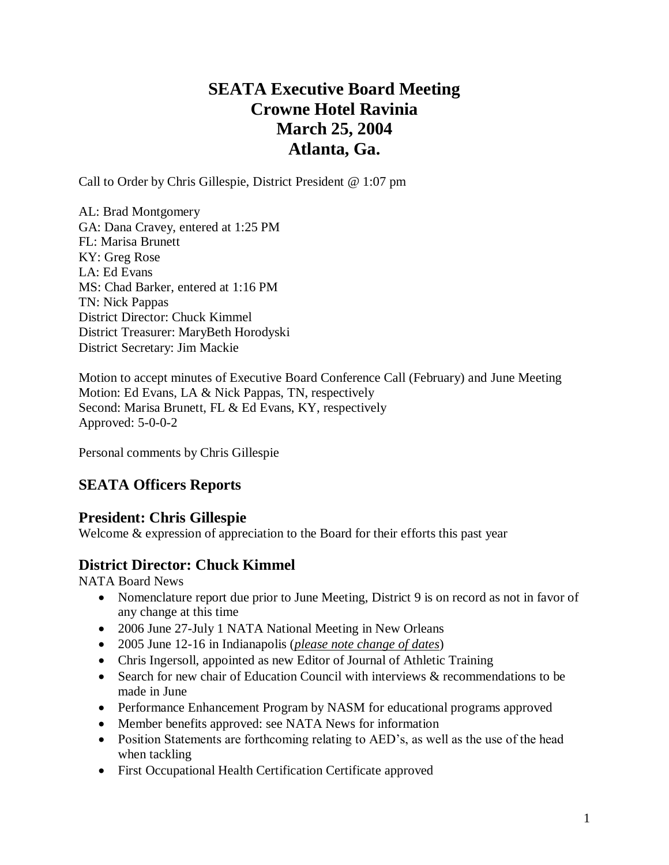# **SEATA Executive Board Meeting Crowne Hotel Ravinia March 25, 2004 Atlanta, Ga.**

Call to Order by Chris Gillespie, District President @ 1:07 pm

AL: Brad Montgomery GA: Dana Cravey, entered at 1:25 PM FL: Marisa Brunett KY: Greg Rose LA: Ed Evans MS: Chad Barker, entered at 1:16 PM TN: Nick Pappas District Director: Chuck Kimmel District Treasurer: MaryBeth Horodyski District Secretary: Jim Mackie

Motion to accept minutes of Executive Board Conference Call (February) and June Meeting Motion: Ed Evans, LA & Nick Pappas, TN, respectively Second: Marisa Brunett, FL & Ed Evans, KY, respectively Approved: 5-0-0-2

Personal comments by Chris Gillespie

## **SEATA Officers Reports**

### **President: Chris Gillespie**

Welcome & expression of appreciation to the Board for their efforts this past year

## **District Director: Chuck Kimmel**

NATA Board News

- Nomenclature report due prior to June Meeting, District 9 is on record as not in favor of any change at this time
- 2006 June 27-July 1 NATA National Meeting in New Orleans
- 2005 June 12-16 in Indianapolis (*please note change of dates*)
- Chris Ingersoll, appointed as new Editor of Journal of Athletic Training
- Search for new chair of Education Council with interviews & recommendations to be made in June
- Performance Enhancement Program by NASM for educational programs approved
- Member benefits approved: see NATA News for information
- Position Statements are forthcoming relating to AED's, as well as the use of the head when tackling
- First Occupational Health Certification Certificate approved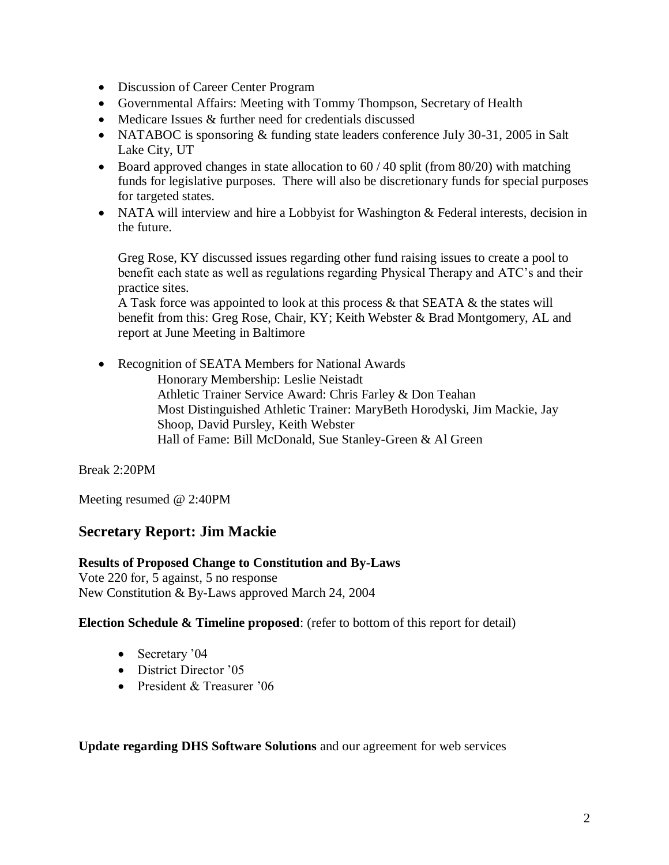- Discussion of Career Center Program
- Governmental Affairs: Meeting with Tommy Thompson, Secretary of Health
- Medicare Issues & further need for credentials discussed
- NATABOC is sponsoring & funding state leaders conference July 30-31, 2005 in Salt Lake City, UT
- Board approved changes in state allocation to  $60 / 40$  split (from 80/20) with matching funds for legislative purposes. There will also be discretionary funds for special purposes for targeted states.
- NATA will interview and hire a Lobbyist for Washington & Federal interests, decision in the future.

Greg Rose, KY discussed issues regarding other fund raising issues to create a pool to benefit each state as well as regulations regarding Physical Therapy and ATC's and their practice sites.

A Task force was appointed to look at this process  $\&$  that SEATA  $\&$  the states will benefit from this: Greg Rose, Chair, KY; Keith Webster & Brad Montgomery, AL and report at June Meeting in Baltimore

• Recognition of SEATA Members for National Awards Honorary Membership: Leslie Neistadt Athletic Trainer Service Award: Chris Farley & Don Teahan Most Distinguished Athletic Trainer: MaryBeth Horodyski, Jim Mackie, Jay Shoop, David Pursley, Keith Webster Hall of Fame: Bill McDonald, Sue Stanley-Green & Al Green

Break 2:20PM

Meeting resumed @ 2:40PM

### **Secretary Report: Jim Mackie**

### **Results of Proposed Change to Constitution and By-Laws**

Vote 220 for, 5 against, 5 no response New Constitution & By-Laws approved March 24, 2004

### **Election Schedule & Timeline proposed**: (refer to bottom of this report for detail)

- Secretary '04
- District Director '05
- President & Treasurer '06

**Update regarding DHS Software Solutions** and our agreement for web services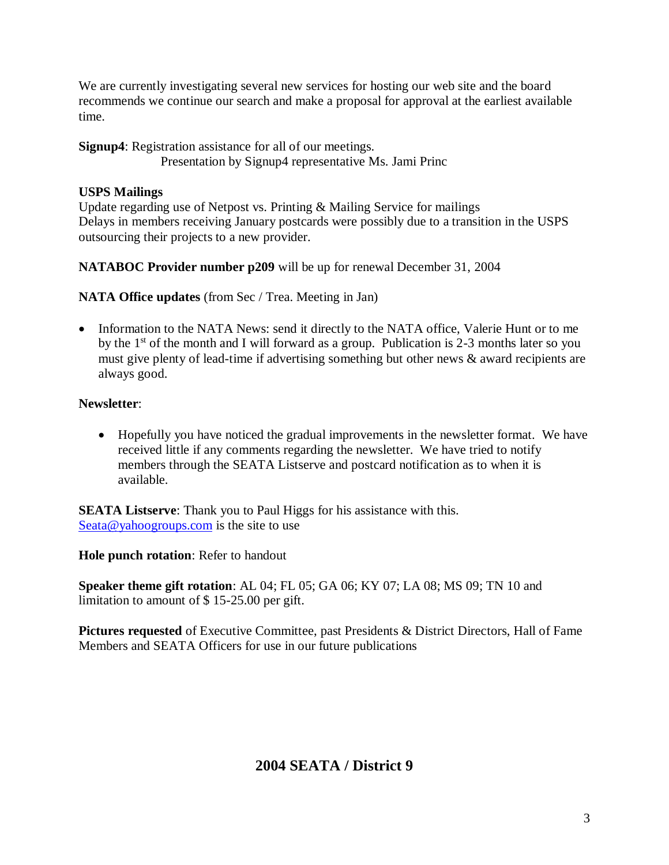We are currently investigating several new services for hosting our web site and the board recommends we continue our search and make a proposal for approval at the earliest available time.

### **Signup4**: Registration assistance for all of our meetings. Presentation by Signup4 representative Ms. Jami Princ

## **USPS Mailings**

Update regarding use of Netpost vs. Printing & Mailing Service for mailings Delays in members receiving January postcards were possibly due to a transition in the USPS outsourcing their projects to a new provider.

## **NATABOC Provider number p209** will be up for renewal December 31, 2004

**NATA Office updates** (from Sec / Trea. Meeting in Jan)

• Information to the NATA News: send it directly to the NATA office, Valerie Hunt or to me by the  $1<sup>st</sup>$  of the month and I will forward as a group. Publication is 2-3 months later so you must give plenty of lead-time if advertising something but other news & award recipients are always good.

## **Newsletter**:

 Hopefully you have noticed the gradual improvements in the newsletter format. We have received little if any comments regarding the newsletter. We have tried to notify members through the SEATA Listserve and postcard notification as to when it is available.

**SEATA Listserve**: Thank you to Paul Higgs for his assistance with this. [Seata@yahoogroups.com](mailto:Seata@yahoogroups.com) is the site to use

**Hole punch rotation**: Refer to handout

**Speaker theme gift rotation**: AL 04; FL 05; GA 06; KY 07; LA 08; MS 09; TN 10 and limitation to amount of \$ 15-25.00 per gift.

**Pictures requested** of Executive Committee, past Presidents & District Directors, Hall of Fame Members and SEATA Officers for use in our future publications

# **2004 SEATA / District 9**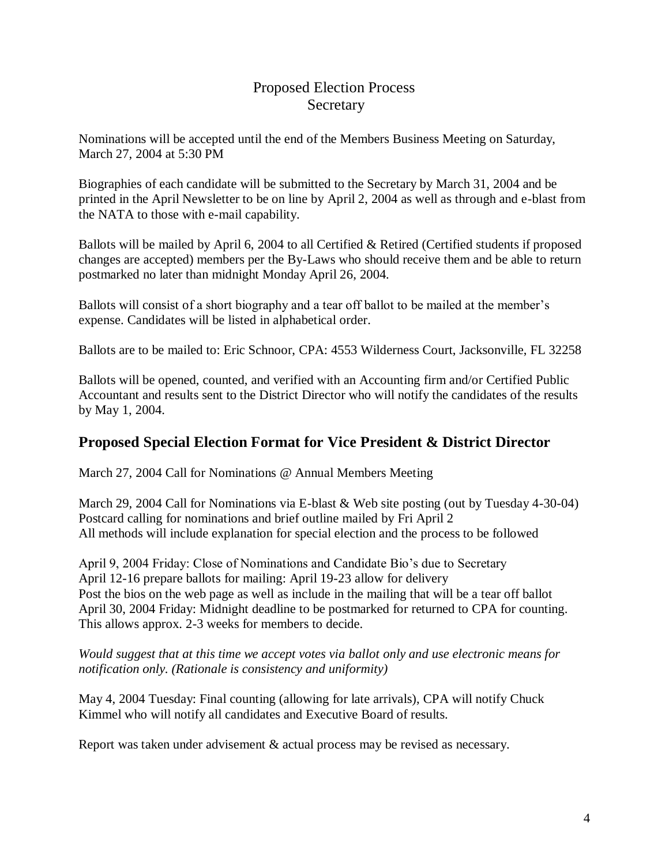## Proposed Election Process **Secretary**

Nominations will be accepted until the end of the Members Business Meeting on Saturday, March 27, 2004 at 5:30 PM

Biographies of each candidate will be submitted to the Secretary by March 31, 2004 and be printed in the April Newsletter to be on line by April 2, 2004 as well as through and e-blast from the NATA to those with e-mail capability.

Ballots will be mailed by April 6, 2004 to all Certified & Retired (Certified students if proposed changes are accepted) members per the By-Laws who should receive them and be able to return postmarked no later than midnight Monday April 26, 2004.

Ballots will consist of a short biography and a tear off ballot to be mailed at the member's expense. Candidates will be listed in alphabetical order.

Ballots are to be mailed to: Eric Schnoor, CPA: 4553 Wilderness Court, Jacksonville, FL 32258

Ballots will be opened, counted, and verified with an Accounting firm and/or Certified Public Accountant and results sent to the District Director who will notify the candidates of the results by May 1, 2004.

## **Proposed Special Election Format for Vice President & District Director**

March 27, 2004 Call for Nominations @ Annual Members Meeting

March 29, 2004 Call for Nominations via E-blast & Web site posting (out by Tuesday 4-30-04) Postcard calling for nominations and brief outline mailed by Fri April 2 All methods will include explanation for special election and the process to be followed

April 9, 2004 Friday: Close of Nominations and Candidate Bio's due to Secretary April 12-16 prepare ballots for mailing: April 19-23 allow for delivery Post the bios on the web page as well as include in the mailing that will be a tear off ballot April 30, 2004 Friday: Midnight deadline to be postmarked for returned to CPA for counting. This allows approx. 2-3 weeks for members to decide.

*Would suggest that at this time we accept votes via ballot only and use electronic means for notification only. (Rationale is consistency and uniformity)*

May 4, 2004 Tuesday: Final counting (allowing for late arrivals), CPA will notify Chuck Kimmel who will notify all candidates and Executive Board of results.

Report was taken under advisement & actual process may be revised as necessary.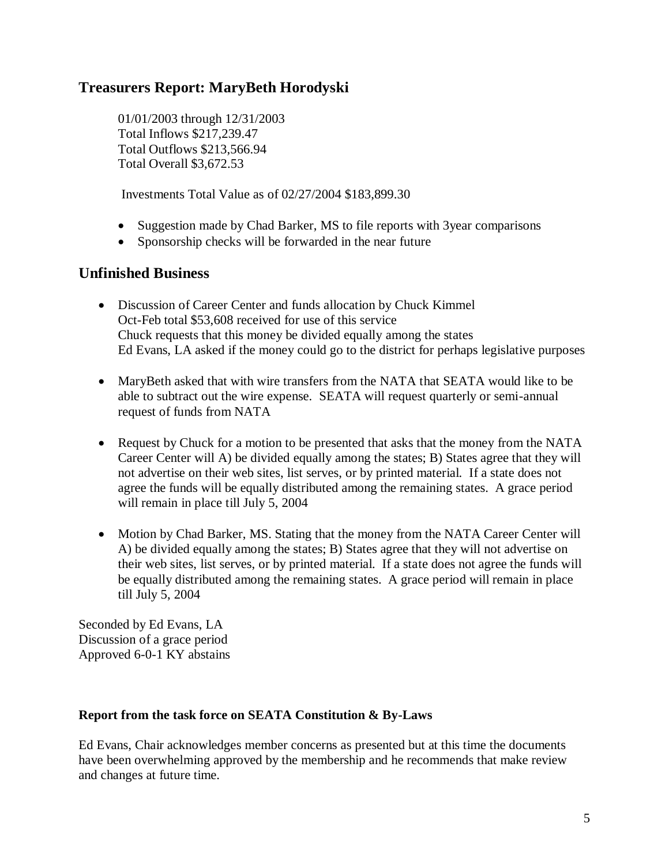## **Treasurers Report: MaryBeth Horodyski**

01/01/2003 through 12/31/2003 Total Inflows \$217,239.47 Total Outflows \$213,566.94 Total Overall \$3,672.53

Investments Total Value as of 02/27/2004 \$183,899.30

- Suggestion made by Chad Barker, MS to file reports with 3year comparisons
- Sponsorship checks will be forwarded in the near future

### **Unfinished Business**

- Discussion of Career Center and funds allocation by Chuck Kimmel Oct-Feb total \$53,608 received for use of this service Chuck requests that this money be divided equally among the states Ed Evans, LA asked if the money could go to the district for perhaps legislative purposes
- MaryBeth asked that with wire transfers from the NATA that SEATA would like to be able to subtract out the wire expense. SEATA will request quarterly or semi-annual request of funds from NATA
- Request by Chuck for a motion to be presented that asks that the money from the NATA Career Center will A) be divided equally among the states; B) States agree that they will not advertise on their web sites, list serves, or by printed material. If a state does not agree the funds will be equally distributed among the remaining states. A grace period will remain in place till July 5, 2004
- Motion by Chad Barker, MS. Stating that the money from the NATA Career Center will A) be divided equally among the states; B) States agree that they will not advertise on their web sites, list serves, or by printed material. If a state does not agree the funds will be equally distributed among the remaining states. A grace period will remain in place till July 5, 2004

Seconded by Ed Evans, LA Discussion of a grace period Approved 6-0-1 KY abstains

### **Report from the task force on SEATA Constitution & By-Laws**

Ed Evans, Chair acknowledges member concerns as presented but at this time the documents have been overwhelming approved by the membership and he recommends that make review and changes at future time.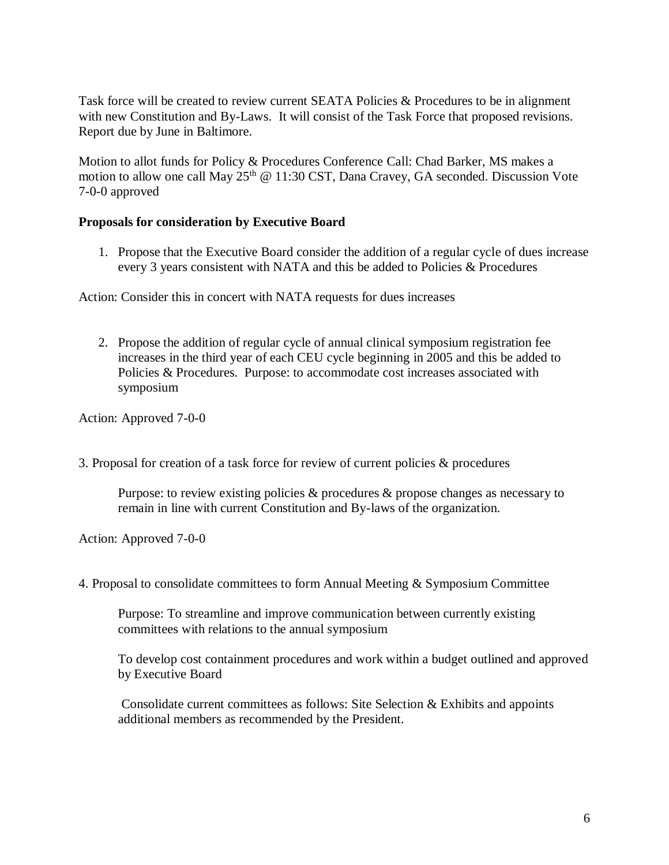Task force will be created to review current SEATA Policies & Procedures to be in alignment with new Constitution and By-Laws. It will consist of the Task Force that proposed revisions. Report due by June in Baltimore.

Motion to allot funds for Policy & Procedures Conference Call: Chad Barker, MS makes a motion to allow one call May  $25<sup>th</sup>$  @ 11:30 CST, Dana Cravey, GA seconded. Discussion Vote 7-0-0 approved

### **Proposals for consideration by Executive Board**

1. Propose that the Executive Board consider the addition of a regular cycle of dues increase every 3 years consistent with NATA and this be added to Policies & Procedures

Action: Consider this in concert with NATA requests for dues increases

2. Propose the addition of regular cycle of annual clinical symposium registration fee increases in the third year of each CEU cycle beginning in 2005 and this be added to Policies & Procedures. Purpose: to accommodate cost increases associated with symposium

Action: Approved 7-0-0

3. Proposal for creation of a task force for review of current policies & procedures

Purpose: to review existing policies & procedures & propose changes as necessary to remain in line with current Constitution and By-laws of the organization.

Action: Approved 7-0-0

4. Proposal to consolidate committees to form Annual Meeting & Symposium Committee

Purpose: To streamline and improve communication between currently existing committees with relations to the annual symposium

To develop cost containment procedures and work within a budget outlined and approved by Executive Board

Consolidate current committees as follows: Site Selection & Exhibits and appoints additional members as recommended by the President.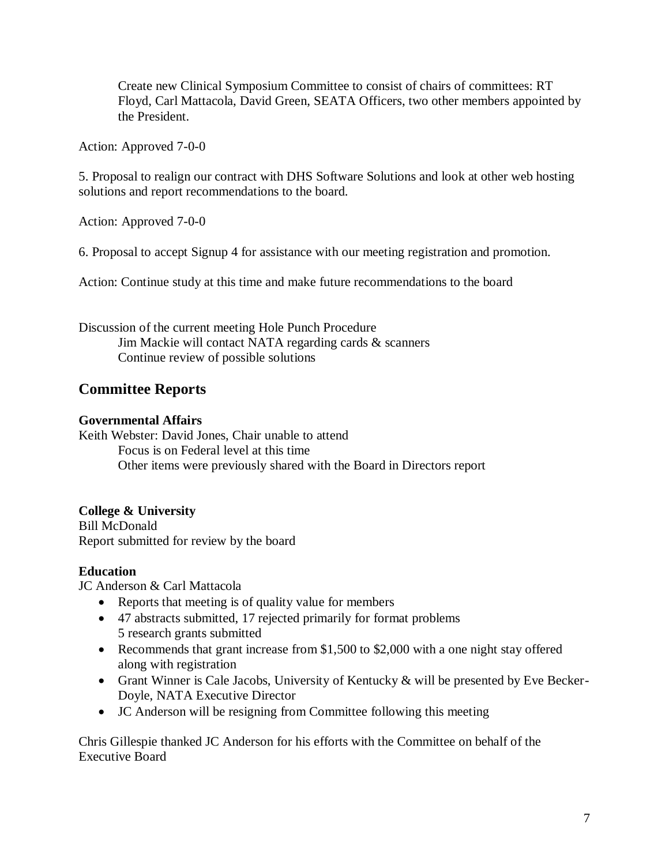Create new Clinical Symposium Committee to consist of chairs of committees: RT Floyd, Carl Mattacola, David Green, SEATA Officers, two other members appointed by the President.

Action: Approved 7-0-0

5. Proposal to realign our contract with DHS Software Solutions and look at other web hosting solutions and report recommendations to the board.

Action: Approved 7-0-0

6. Proposal to accept Signup 4 for assistance with our meeting registration and promotion.

Action: Continue study at this time and make future recommendations to the board

Discussion of the current meeting Hole Punch Procedure Jim Mackie will contact NATA regarding cards & scanners Continue review of possible solutions

## **Committee Reports**

### **Governmental Affairs**

Keith Webster: David Jones, Chair unable to attend Focus is on Federal level at this time Other items were previously shared with the Board in Directors report

### **College & University**

Bill McDonald Report submitted for review by the board

### **Education**

JC Anderson & Carl Mattacola

- Reports that meeting is of quality value for members
- 47 abstracts submitted, 17 rejected primarily for format problems 5 research grants submitted
- Recommends that grant increase from \$1,500 to \$2,000 with a one night stay offered along with registration
- Grant Winner is Cale Jacobs, University of Kentucky & will be presented by Eve Becker-Doyle, NATA Executive Director
- JC Anderson will be resigning from Committee following this meeting

Chris Gillespie thanked JC Anderson for his efforts with the Committee on behalf of the Executive Board